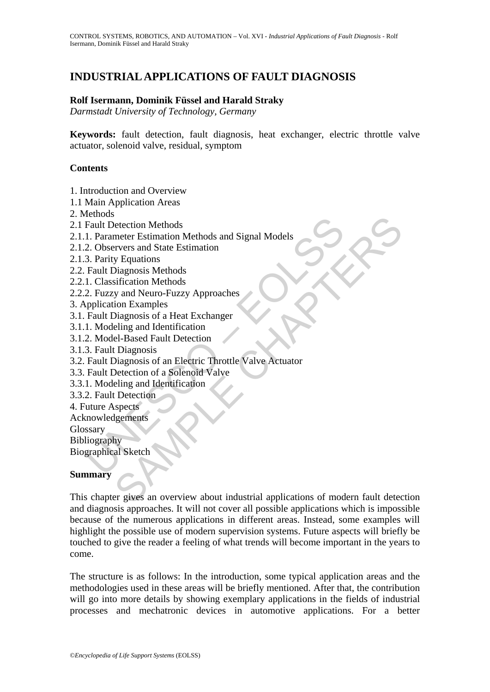# **INDUSTRIAL APPLICATIONS OF FAULT DIAGNOSIS**

#### **Rolf Isermann, Dominik Füssel and Harald Straky**

*Darmstadt University of Technology, Germany* 

**Keywords:** fault detection, fault diagnosis, heat exchanger, electric throttle valve actuator, solenoid valve, residual, symptom

#### **Contents**

1. Introduction and Overview

- 1.1 Main Application Areas
- 2. Methods
- 2.1 Fault Detection Methods
- 2.1.1. Parameter Estimation Methods and Signal Models
- 2.1.2. Observers and State Estimation
- 2.1.3. Parity Equations
- 2.2. Fault Diagnosis Methods
- 2.2.1. Classification Methods
- 2.2.2. Fuzzy and Neuro-Fuzzy Approaches
- 3. Application Examples
- 3.1. Fault Diagnosis of a Heat Exchanger
- 3.1.1. Modeling and Identification
- 3.1.2. Model-Based Fault Detection
- 3.1.3. Fault Diagnosis
- Fault Detection Methods<br>
1. Parameter Estimation Methods and Signal Models<br>
2. Observers and State Estimation<br>
3. Parity Equations<br>
1. Classification Methods<br>
1. Classification Methods<br>
2. Fuzzy and Neuro-Fuzzy Approaches<br> 3.2. Fault Diagnosis of an Electric Throttle Valve Actuator
- 3.3. Fault Detection of a Solenoid Valve
- 3.3.1. Modeling and Identification
- 3.3.2. Fault Detection
- 4. Future Aspects
- Acknowledgements

Glossary

Bibliography

Biographical Sketch

#### **Summary**

Section Methods<br>
Meter Estimation Methods and Signal Models<br>
The Testimation Methods<br>
The Testimation<br>
Diagnosis Methods<br>
Singnosis Methods<br>
Singnosis of a Heat Exchanger<br>
Diagnosis of a Heat Exchanger<br>
Diagnosis of a Heat This chapter gives an overview about industrial applications of modern fault detection and diagnosis approaches. It will not cover all possible applications which is impossible because of the numerous applications in different areas. Instead, some examples will highlight the possible use of modern supervision systems. Future aspects will briefly be touched to give the reader a feeling of what trends will become important in the years to come.

The structure is as follows: In the introduction, some typical application areas and the methodologies used in these areas will be briefly mentioned. After that, the contribution will go into more details by showing exemplary applications in the fields of industrial processes and mechatronic devices in automotive applications. For a better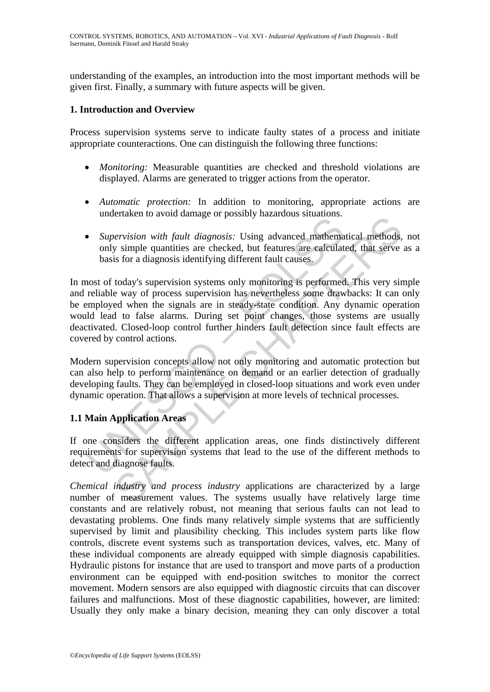understanding of the examples, an introduction into the most important methods will be given first. Finally, a summary with future aspects will be given.

#### **1. Introduction and Overview**

Process supervision systems serve to indicate faulty states of a process and initiate appropriate counteractions. One can distinguish the following three functions:

- *Monitoring:* Measurable quantities are checked and threshold violations are displayed. Alarms are generated to trigger actions from the operator.
- *Automatic protection:* In addition to monitoring, appropriate actions are undertaken to avoid damage or possibly hazardous situations.
- *Supervision with fault diagnosis:* Using advanced mathematical methods, not only simple quantities are checked, but features are calculated, that serve as a basis for a diagnosis identifying different fault causes.

• *Supervision with fault diagnosis:* Using advanced *subditerials*.<br>• *Supervision with fault diagnosis:* Using advanced mathema<br>only simple quantities are checked, but features are calculat<br>basis for a diagnosis identify envision with fault diagnosis: Using advanced mathematical methods,<br>y simple quantities are checked, but features are calculated, that serve<br>is for a diagnosis identifying different fault causes.<br>today's supervision system In most of today's supervision systems only monitoring is performed. This very simple and reliable way of process supervision has nevertheless some drawbacks: It can only be employed when the signals are in steady-state condition. Any dynamic operation would lead to false alarms. During set point changes, those systems are usually deactivated. Closed-loop control further hinders fault detection since fault effects are covered by control actions.

Modern supervision concepts allow not only monitoring and automatic protection but can also help to perform maintenance on demand or an earlier detection of gradually developing faults. They can be employed in closed-loop situations and work even under dynamic operation. That allows a supervision at more levels of technical processes.

# **1.1 Main Application Areas**

If one considers the different application areas, one finds distinctively different requirements for supervision systems that lead to the use of the different methods to detect and diagnose faults.

*Chemical industry and process industry* applications are characterized by a large number of measurement values. The systems usually have relatively large time constants and are relatively robust, not meaning that serious faults can not lead to devastating problems. One finds many relatively simple systems that are sufficiently supervised by limit and plausibility checking. This includes system parts like flow controls, discrete event systems such as transportation devices, valves, etc. Many of these individual components are already equipped with simple diagnosis capabilities. Hydraulic pistons for instance that are used to transport and move parts of a production environment can be equipped with end-position switches to monitor the correct movement. Modern sensors are also equipped with diagnostic circuits that can discover failures and malfunctions. Most of these diagnostic capabilities, however, are limited: Usually they only make a binary decision, meaning they can only discover a total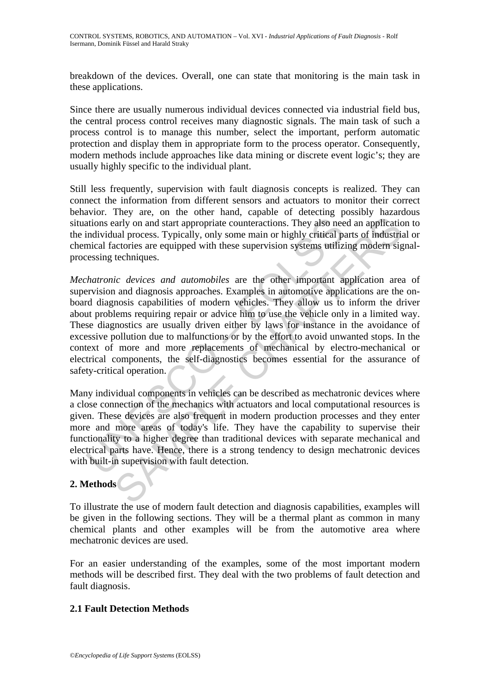breakdown of the devices. Overall, one can state that monitoring is the main task in these applications.

Since there are usually numerous individual devices connected via industrial field bus, the central process control receives many diagnostic signals. The main task of such a process control is to manage this number, select the important, perform automatic protection and display them in appropriate form to the process operator. Consequently, modern methods include approaches like data mining or discrete event logic's; they are usually highly specific to the individual plant.

Still less frequently, supervision with fault diagnosis concepts is realized. They can connect the information from different sensors and actuators to monitor their correct behavior. They are, on the other hand, capable of detecting possibly hazardous situations early on and start appropriate counteractions. They also need an application to the individual process. Typically, only some main or highly critical parts of industrial or chemical factories are equipped with these supervision systems utilizing modern signalprocessing techniques.

ations early on and start appropriate counteractions. They also need in individual process. Typically, only some main or highly critical pair incividual process. Typically, only some main or highly critical pair and actori and you and start appropriate counteractions. They also need an applicational process. Typically, only some main or highly critical parts of industriational process. Typically, only some main or highly critical parts of in *Mechatronic devices and automobiles* are the other important application area of supervision and diagnosis approaches. Examples in automotive applications are the onboard diagnosis capabilities of modern vehicles. They allow us to inform the driver about problems requiring repair or advice him to use the vehicle only in a limited way. These diagnostics are usually driven either by laws for instance in the avoidance of excessive pollution due to malfunctions or by the effort to avoid unwanted stops. In the context of more and more replacements of mechanical by electro-mechanical or electrical components, the self-diagnostics becomes essential for the assurance of safety-critical operation.

Many individual components in vehicles can be described as mechatronic devices where a close connection of the mechanics with actuators and local computational resources is given. These devices are also frequent in modern production processes and they enter more and more areas of today's life. They have the capability to supervise their functionality to a higher degree than traditional devices with separate mechanical and electrical parts have. Hence, there is a strong tendency to design mechatronic devices with built-in supervision with fault detection.

## **2. Methods**

To illustrate the use of modern fault detection and diagnosis capabilities, examples will be given in the following sections. They will be a thermal plant as common in many chemical plants and other examples will be from the automotive area where mechatronic devices are used.

For an easier understanding of the examples, some of the most important modern methods will be described first. They deal with the two problems of fault detection and fault diagnosis.

#### **2.1 Fault Detection Methods**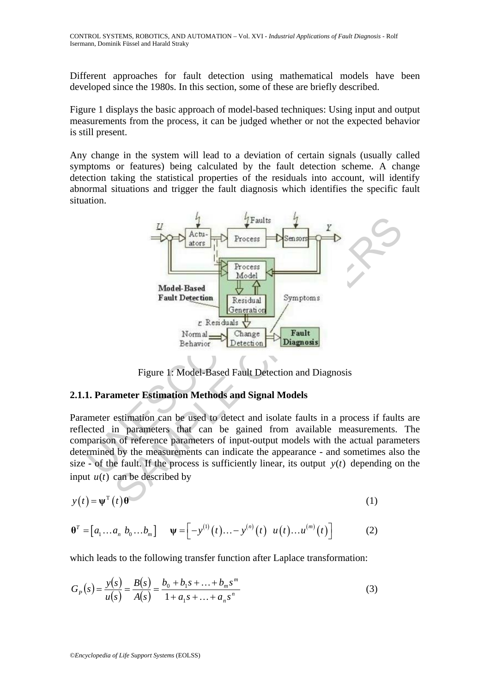Different approaches for fault detection using mathematical models have been developed since the 1980s. In this section, some of these are briefly described.

Figure 1 displays the basic approach of model-based techniques: Using input and output measurements from the process, it can be judged whether or not the expected behavior is still present.

Any change in the system will lead to a deviation of certain signals (usually called symptoms or features) being calculated by the fault detection scheme. A change detection taking the statistical properties of the residuals into account, will identify abnormal situations and trigger the fault diagnosis which identifies the specific fault situation.



Figure 1: Model-Based Fault Detection and Diagnosis

# **2.1.1. Parameter Estimation Methods and Signal Models**

Parameter estimation can be used to detect and isolate faults in a process if faults are reflected in parameters that can be gained from available measurements. The comparison of reference parameters of input-output models with the actual parameters determined by the measurements can indicate the appearance - and sometimes also the size - of the fault. If the process is sufficiently linear, its output  $y(t)$  depending on the input  $u(t)$  can be described by

$$
y(t) = \psi^{T}(t)\theta
$$
 (1)

$$
\boldsymbol{\theta}^T = \begin{bmatrix} a_1 \dots a_n & b_0 \dots b_m \end{bmatrix} \quad \boldsymbol{\psi} = \begin{bmatrix} -y^{(1)}(t) \dots - y^{(n)}(t) & u(t) \dots u^{(m)}(t) \end{bmatrix} \tag{2}
$$

which leads to the following transfer function after Laplace transformation:

$$
G_P(s) = \frac{y(s)}{u(s)} = \frac{B(s)}{A(s)} = \frac{b_0 + b_1 s + \dots + b_m s^m}{1 + a_1 s + \dots + a_n s^n}
$$
(3)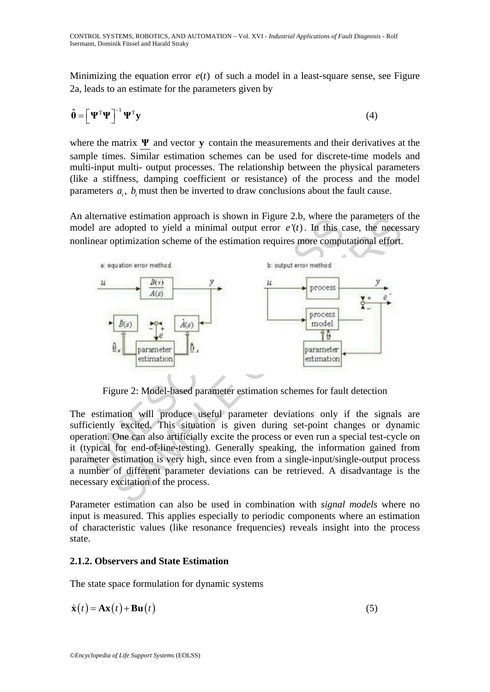Minimizing the equation error  $e(t)$  of such a model in a least-square sense, see Figure 2a, leads to an estimate for the parameters given by

$$
\hat{\boldsymbol{\theta}} = \left[ \boldsymbol{\Psi}^{\mathrm{T}} \boldsymbol{\Psi} \right]^{-1} \boldsymbol{\Psi}^{\mathrm{T}} \mathbf{y}
$$
 (4)

where the matrix **Ψ** and vector **y** contain the measurements and their derivatives at the sample times. Similar estimation schemes can be used for discrete-time models and multi-input multi- output processes. The relationship between the physical parameters (like a stiffness, damping coefficient or resistance) of the process and the model parameters  $a_i$ ,  $b_i$  must then be inverted to draw conclusions about the fault cause.

An alternative estimation approach is shown in Figure 2.b, where the parameters of the model are adopted to yield a minimal output error  $e'(t)$ . In this case, the necessary nonlinear optimization scheme of the estimation requires more computational effort.



Figure 2: Model-based parameter estimation schemes for fault detection

The estimation will produce useful parameter deviations only if the signals are sufficiently excited. This situation is given during set-point changes or dynamic operation. One can also artificially excite the process or even run a special test-cycle on it (typical for end-of-line-testing). Generally speaking, the information gained from parameter estimation is very high, since even from a single-input/single-output process a number of different parameter deviations can be retrieved. A disadvantage is the necessary excitation of the process.

Parameter estimation can also be used in combination with *signal models* where no input is measured. This applies especially to periodic components where an estimation of characteristic values (like resonance frequencies) reveals insight into the process state.

## **2.1.2. Observers and State Estimation**

The state space formulation for dynamic systems

$$
\dot{\mathbf{x}}(t) = \mathbf{A}\mathbf{x}(t) + \mathbf{B}\mathbf{u}(t) \tag{5}
$$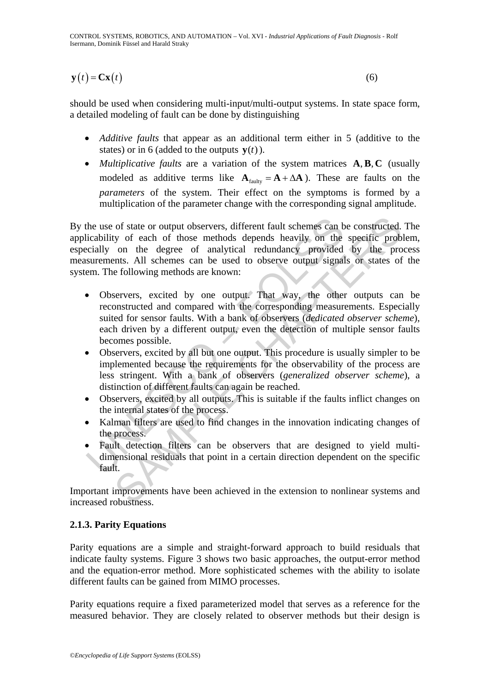CONTROL SYSTEMS, ROBOTICS, AND AUTOMATION – Vol. XVI - *Industrial Applications of Fault Diagnosis* - Rolf Isermann, Dominik Füssel and Harald Straky

$$
\mathbf{y}(t) = \mathbf{C}\mathbf{x}(t) \tag{6}
$$

should be used when considering multi-input/multi-output systems. In state space form, a detailed modeling of fault can be done by distinguishing

- *Additive faults* that appear as an additional term either in 5 (additive to the states) or in 6 (added to the outputs  $\mathbf{v}(t)$ ).
- *Multiplicative faults* are a variation of the system matrices **A, B, C** (usually modeled as additive terms like  $A_{\text{faultv}} = A + \Delta A$ ). These are faults on the *parameters* of the system. Their effect on the symptoms is formed by a multiplication of the parameter change with the corresponding signal amplitude.

By the use of state or output observers, different fault schemes can be constructed. The applicability of each of those methods depends heavily on the specific problem, especially on the degree of analytical redundancy provided by the process measurements. All schemes can be used to observe output signals or states of the system. The following methods are known:

- The use of state or output observers, different fault schemes can bicability of each of those methods depends heavily on the decially on the degree of analytical redundancy provided surements. All schemes can be used to ob of state or output observers, different fault schemes can be constructed.<br>
y of each of those methods depends heavily on the specific prob<br>
on the degree of analytical redundancy provided by the pro<br>
entics. All schemes ca • Observers, excited by one output. That way, the other outputs can be reconstructed and compared with the corresponding measurements. Especially suited for sensor faults. With a bank of observers (*dedicated observer scheme*), each driven by a different output, even the detection of multiple sensor faults becomes possible.
- Observers, excited by all but one output. This procedure is usually simpler to be implemented because the requirements for the observability of the process are less stringent. With a bank of observers (*generalized observer scheme*), a distinction of different faults can again be reached.
- Observers, excited by all outputs. This is suitable if the faults inflict changes on the internal states of the process.
- Kalman filters are used to find changes in the innovation indicating changes of the process.
- Fault detection filters can be observers that are designed to yield multidimensional residuals that point in a certain direction dependent on the specific fault.

Important improvements have been achieved in the extension to nonlinear systems and increased robustness.

## **2.1.3. Parity Equations**

Parity equations are a simple and straight-forward approach to build residuals that indicate faulty systems. Figure 3 shows two basic approaches, the output-error method and the equation-error method. More sophisticated schemes with the ability to isolate different faults can be gained from MIMO processes.

Parity equations require a fixed parameterized model that serves as a reference for the measured behavior. They are closely related to observer methods but their design is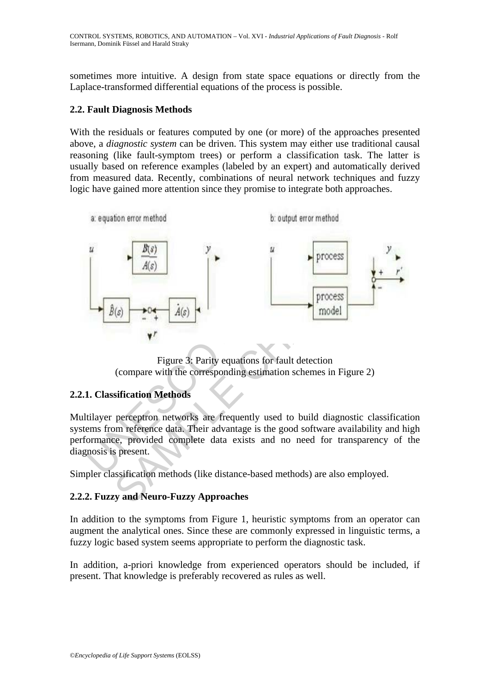sometimes more intuitive. A design from state space equations or directly from the Laplace-transformed differential equations of the process is possible.

#### **2.2. Fault Diagnosis Methods**

With the residuals or features computed by one (or more) of the approaches presented above, a *diagnostic system* can be driven. This system may either use traditional causal reasoning (like fault-symptom trees) or perform a classification task. The latter is usually based on reference examples (labeled by an expert) and automatically derived from measured data. Recently, combinations of neural network techniques and fuzzy logic have gained more attention since they promise to integrate both approaches.



Figure 3: Parity equations for fault detection (compare with the corresponding estimation schemes in Figure 2)

## **2.2.1. Classification Methods**

Multilayer perceptron networks are frequently used to build diagnostic classification systems from reference data. Their advantage is the good software availability and high performance, provided complete data exists and no need for transparency of the diagnosis is present.

Simpler classification methods (like distance-based methods) are also employed.

## **2.2.2. Fuzzy and Neuro-Fuzzy Approaches**

In addition to the symptoms from Figure 1, heuristic symptoms from an operator can augment the analytical ones. Since these are commonly expressed in linguistic terms, a fuzzy logic based system seems appropriate to perform the diagnostic task.

In addition, a-priori knowledge from experienced operators should be included, if present. That knowledge is preferably recovered as rules as well.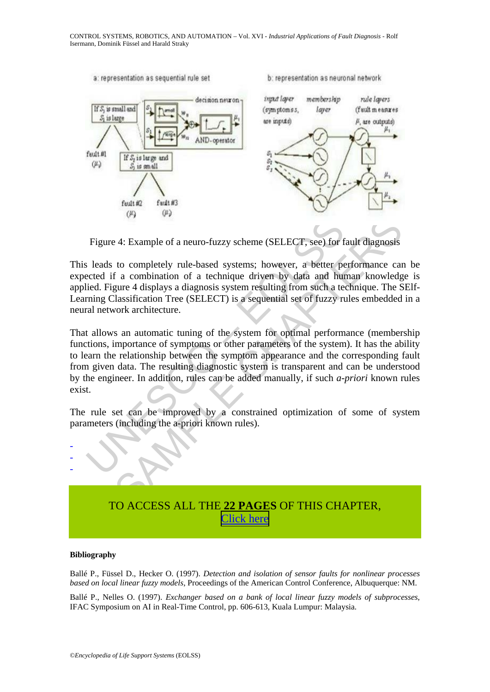

Figure 4: Example of a neuro-fuzzy scheme (SELECT, see) for fault diagnosis

This leads to completely rule-based systems; however, a better performance can be expected if a combination of a technique driven by data and human knowledge is applied. Figure 4 displays a diagnosis system resulting from such a technique. The SElf-Learning Classification Tree (SELECT) is a sequential set of fuzzy rules embedded in a neural network architecture.

Figure 4: Example of a neuro-fuzzy scheme (SELECT, see) for f<br>s leads to completely rule-based systems; however, a better pe<br>ceted if a combination of a technique driven by data and hundled. Figure 4 displays a diagnosis 24: Example of a neuro-fuzzy scheme (SELECT, see) for fault diagnosis<br>to completely rule-based systems; however, a better performance car<br>fr a combination of a technique driven by data and human knowledge<br>give 4 displays a That allows an automatic tuning of the system for optimal performance (membership functions, importance of symptoms or other parameters of the system). It has the ability to learn the relationship between the symptom appearance and the corresponding fault from given data. The resulting diagnostic system is transparent and can be understood by the engineer. In addition, rules can be added manually, if such *a-priori* known rules exist.

The rule set can be improved by a constrained optimization of some of system parameters (including the a-priori known rules).



#### **Bibliography**

- - -

Ballé P., Füssel D., Hecker O. (1997). *Detection and isolation of sensor faults for nonlinear processes based on local linear fuzzy models*, Proceedings of the American Control Conference, Albuquerque: NM.

Ballé P., Nelles O. (1997). *Exchanger based on a bank of local linear fuzzy models of subprocesses*, IFAC Symposium on AI in Real-Time Control, pp. 606-613, Kuala Lumpur: Malaysia.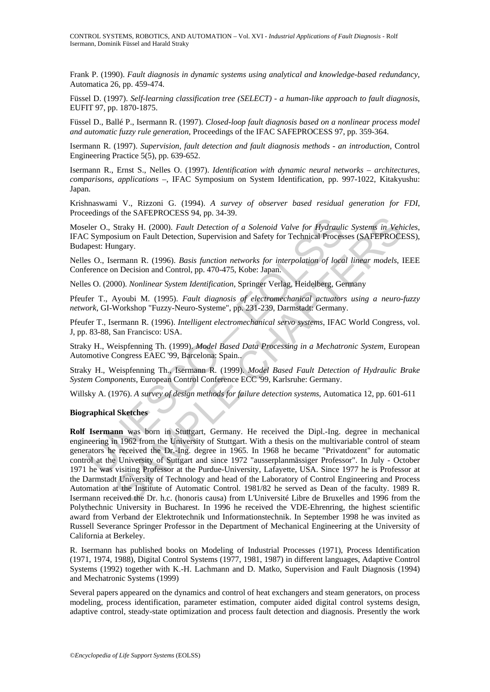Frank P. (1990). *Fault diagnosis in dynamic systems using analytical and knowledge-based redundancy*, Automatica 26, pp. 459-474.

Füssel D. (1997). *Self-learning classification tree (SELECT) - a human-like approach to fault diagnosis*, EUFIT 97, pp. 1870-1875.

Füssel D., Ballé P., Isermann R. (1997). *Closed-loop fault diagnosis based on a nonlinear process model and automatic fuzzy rule generation*, Proceedings of the IFAC SAFEPROCESS 97, pp. 359-364.

Isermann R. (1997). *Supervision, fault detection and fault diagnosis methods - an introduction*, Control Engineering Practice 5(5), pp. 639-652.

Isermann R., Ernst S., Nelles O. (1997). *Identification with dynamic neural networks – architectures, comparisons, applications –*, IFAC Symposium on System Identification, pp. 997-1022, Kitakyushu: Japan.

Krishnaswami V., Rizzoni G. (1994). *A survey of observer based residual generation for FDI*, Proceedings of the SAFEPROCESS 94, pp. 34-39.

Moseler O., Straky H. (2000). *Fault Detection of a Solenoid Valve for Hydraulic Systems in Vehicles*, IFAC Symposium on Fault Detection, Supervision and Safety for Technical Processes (SAFEPROCESS), Budapest: Hungary.

Nelles O., Isermann R. (1996). *Basis function networks for interpolation of local linear models*, IEEE Conference on Decision and Control, pp. 470-475, Kobe: Japan.

Nelles O. (2000). *Nonlinear System Identification*, Springer Verlag, Heidelberg, Germany

Pfeufer T., Ayoubi M. (1995). *Fault diagnosis of electromechanical actuators using a neuro-fuzzy network*, GI-Workshop "Fuzzy-Neuro-Systeme", pp. 231-239, Darmstadt: Germany.

Pfeufer T., Isermann R. (1996). *Intelligent electromechanical servo systems*, IFAC World Congress, vol. J, pp. 83-88, San Francisco: USA.

Straky H., Weispfenning Th. (1999). *Model Based Data Processing in a Mechatronic System*, European Automotive Congress EAEC '99, Barcelona: Spain..

Straky H., Weispfenning Th., Isermann R. (1999). *Model Based Fault Detection of Hydraulic Brake System Components*, European Control Conference ECC '99, Karlsruhe: Germany.

Willsky A. (1976). *A survey of design methods for failure detection systems*, Automatica 12, pp. 601-611

#### **Biographical Sketches**

eler O., Straky H. (2000). *Fault Detection of a Solenoid Valve for Hydrauli*: Symposium on Fault Detection, Supervision and Safety for Technical Processpest: Hungary.<br>
S. O., Isermann R. (1996). *Basis function networks f* or and The CHAPTER (1999). *Fault Detection of a Solenoid Valve for Hydraulic Systems in Veh*<br>
Straky H. (2000). *Fault Detection of a Solenoid Valve for Hydraulic Systems in Veh*<br>
sium on Fault Detection, Supervision and **Rolf Isermann** was born in Stuttgart, Germany. He received the Dipl.-Ing. degree in mechanical engineering in 1962 from the University of Stuttgart. With a thesis on the multivariable control of steam generators he received the Dr.-Ing. degree in 1965. In 1968 he became "Privatdozent" for automatic control at the University of Suttgart and since 1972 "ausserplanmässiger Professor". In July - October 1971 he was visiting Professor at the Purdue-University, Lafayette, USA. Since 1977 he is Professor at the Darmstadt University of Technology and head of the Laboratory of Control Engineering and Process Automation at the Institute of Automatic Control. 1981/82 he served as Dean of the faculty. 1989 R. Isermann received the Dr. h.c. (honoris causa) from L'Université Libre de Bruxelles and 1996 from the Polythechnic University in Bucharest. In 1996 he received the VDE-Ehrenring, the highest scientific award from Verband der Elektrotechnik und Informationstechnik. In September 1998 he was invited as Russell Severance Springer Professor in the Department of Mechanical Engineering at the University of California at Berkeley.

R. Isermann has published books on Modeling of Industrial Processes (1971), Process Identification (1971, 1974, 1988), Digital Control Systems (1977, 1981, 1987) in different languages, Adaptive Control Systems (1992) together with K.-H. Lachmann and D. Matko, Supervision and Fault Diagnosis (1994) and Mechatronic Systems (1999)

Several papers appeared on the dynamics and control of heat exchangers and steam generators, on process modeling, process identification, parameter estimation, computer aided digital control systems design, adaptive control, steady-state optimization and process fault detection and diagnosis. Presently the work